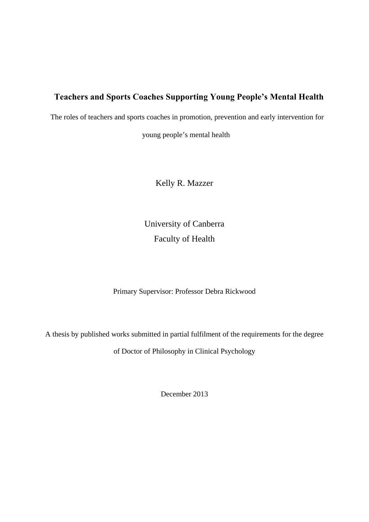## **Teachers and Sports Coaches Supporting Young People's Mental Health**

The roles of teachers and sports coaches in promotion, prevention and early intervention for

young people's mental health

Kelly R. Mazzer

University of Canberra Faculty of Health

Primary Supervisor: Professor Debra Rickwood

A thesis by published works submitted in partial fulfilment of the requirements for the degree

of Doctor of Philosophy in Clinical Psychology

December 2013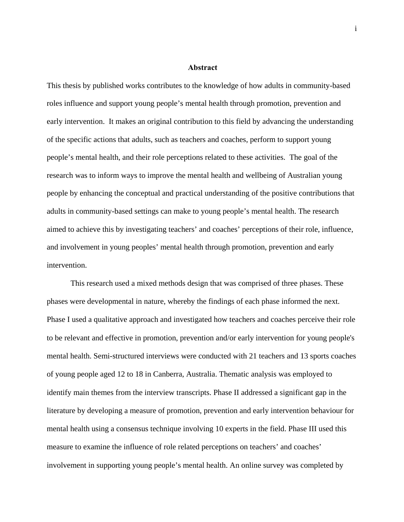#### **AbAbstract**

<span id="page-1-0"></span>This thesis by published works contributes to the knowledge of how adults in community-based roles influence and support young people's mental health through promotion, prevention and early intervention. It makes an original contribution to this field by advancing the understanding of the specific actions that adults, such as teachers and coaches, perform to support young people's mental health, and their role perceptions related to these activities. The goal of the research was to inform ways to improve the mental health and wellbeing of Australian young people by enhancing the conceptual and practical understanding of the positive contributions that adults in community-based settings can make to young people's mental health. The research aimed to achieve this by investigating teachers' and coaches' perceptions of their role, influence, and involvement in young peoples' mental health through promotion, prevention and early intervention.

This research used a mixed methods design that was comprised of three phases. These phases were developmental in nature, whereby the findings of each phase informed the next. Phase I used a qualitative approach and investigated how teachers and coaches perceive their role to be relevant and effective in promotion, prevention and/or early intervention for young people's mental health. Semi-structured interviews were conducted with 21 teachers and 13 sports coaches of young people aged 12 to 18 in Canberra, Australia. Thematic analysis was employed to identify main themes from the interview transcripts. Phase II addressed a significant gap in the literature by developing a measure of promotion, prevention and early intervention behaviour for mental health using a consensus technique involving 10 experts in the field. Phase III used this measure to examine the influence of role related perceptions on teachers' and coaches' involvement in supporting young people's mental health. An online survey was completed by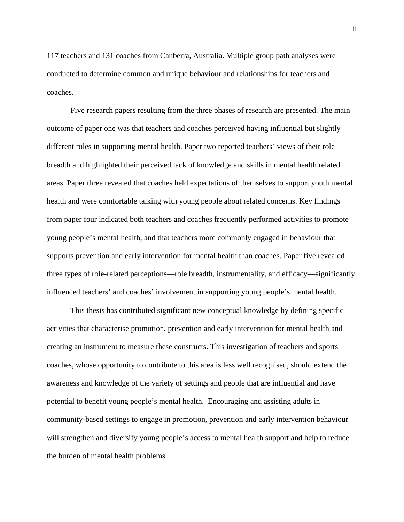117 teachers and 131 coaches from Canberra, Australia. Multiple group path analyses were conducted to determine common and unique behaviour and relationships for teachers and coaches.

Five research papers resulting from the three phases of research are presented. The main outcome of paper one was that teachers and coaches perceived having influential but slightly different roles in supporting mental health. Paper two reported teachers' views of their role breadth and highlighted their perceived lack of knowledge and skills in mental health related areas. Paper three revealed that coaches held expectations of themselves to support youth mental health and were comfortable talking with young people about related concerns. Key findings from paper four indicated both teachers and coaches frequently performed activities to promote young people's mental health, and that teachers more commonly engaged in behaviour that supports prevention and early intervention for mental health than coaches. Paper five revealed three types of role-related perceptions—role breadth, instrumentality, and efficacy—significantly influenced teachers' and coaches' involvement in supporting young people's mental health.

This thesis has contributed significant new conceptual knowledge by defining specific activities that characterise promotion, prevention and early intervention for mental health and creating an instrument to measure these constructs. This investigation of teachers and sports coaches, whose opportunity to contribute to this area is less well recognised, should extend the awareness and knowledge of the variety of settings and people that are influential and have potential to benefit young people's mental health. Encouraging and assisting adults in community-based settings to engage in promotion, prevention and early intervention behaviour will strengthen and diversify young people's access to mental health support and help to reduce the burden of mental health problems.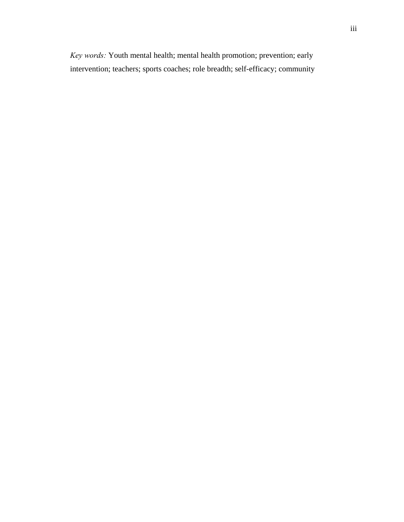*Key words:* Youth mental health; mental health promotion; prevention; early intervention; teachers; sports coaches; role breadth; self-efficacy; community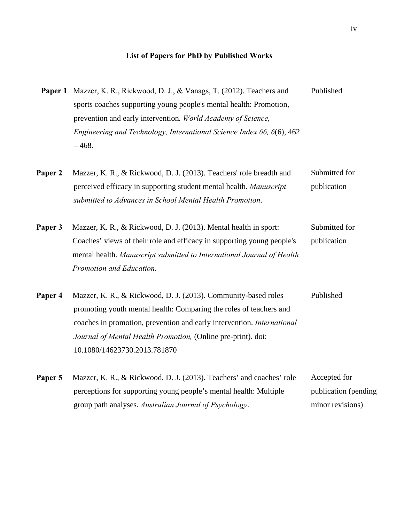## **List of Papers for PhD by Published Works**

<span id="page-4-0"></span>

|         | <b>Paper 1</b> Mazzer, K. R., Rickwood, D. J., & Vanags, T. (2012). Teachers and                                                                                                                                                                 | Published                    |
|---------|--------------------------------------------------------------------------------------------------------------------------------------------------------------------------------------------------------------------------------------------------|------------------------------|
|         | sports coaches supporting young people's mental health: Promotion,                                                                                                                                                                               |                              |
|         | prevention and early intervention. World Academy of Science,                                                                                                                                                                                     |                              |
|         | Engineering and Technology, International Science Index 66, 6(6), 462<br>$-468.$                                                                                                                                                                 |                              |
| Paper 2 | Mazzer, K. R., & Rickwood, D. J. (2013). Teachers' role breadth and<br>perceived efficacy in supporting student mental health. Manuscript<br>submitted to Advances in School Mental Health Promotion.                                            | Submitted for<br>publication |
| Paper 3 | Mazzer, K. R., & Rickwood, D. J. (2013). Mental health in sport:<br>Coaches' views of their role and efficacy in supporting young people's<br>mental health. Manuscript submitted to International Journal of Health<br>Promotion and Education. | Submitted for<br>publication |
| Paper 4 | Mazzer, K. R., & Rickwood, D. J. (2013). Community-based roles<br>promoting youth mental health: Comparing the roles of teachers and<br>coaches in promotion, prevention and early intervention. International                                   | Published                    |

10.1080/14623730.2013.781870

*Journal of Mental Health Promotion,* (Online pre-print). doi:

| Paper 5 | Mazzer, K. R., & Rickwood, D. J. (2013). Teachers' and coaches' role | Accepted for          |
|---------|----------------------------------------------------------------------|-----------------------|
|         | perceptions for supporting young people's mental health: Multiple    | publication (pending) |
|         | group path analyses. Australian Journal of Psychology.               | minor revisions)      |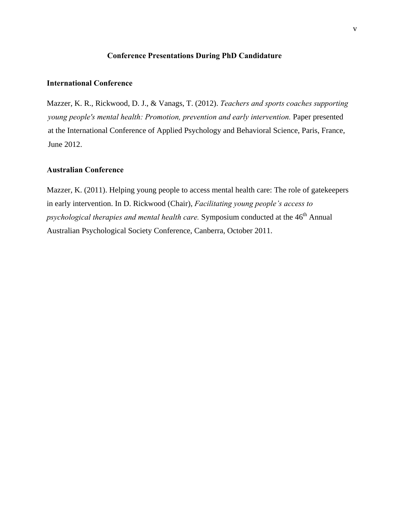### **Conference Presentations During PhD Candidature**

#### <span id="page-5-0"></span>**International Conference**

Mazzer, K. R., Rickwood, D. J., & Vanags, T. (2012). *Teachers and sports coaches supporting young people's mental health: Promotion, prevention and early intervention.* Paper presented at the International Conference of Applied Psychology and Behavioral Science, Paris, France, June 2012.

### **Australian Conference**

Mazzer, K. (2011). Helping young people to access mental health care: The role of gatekeepers in early intervention. In D. Rickwood (Chair), *Facilitating young people's access to psychological therapies and mental health care.* Symposium conducted at the 46<sup>th</sup> Annual Australian Psychological Society Conference, Canberra, October 2011.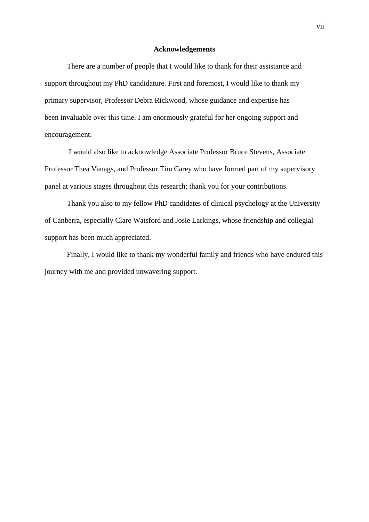#### **Acknowledgements**

There are a number of people that I would like to thank for their assistance and support throughout my PhD candidature. First and foremost, I would like to thank my primary supervisor, Professor Debra Rickwood, whose guidance and expertise has been invaluable over this time. I am enormously grateful for her ongoing support and encouragement.

I would also like to acknowledge Associate Professor Bruce Stevens, Associate Professor Thea Vanags, and Professor Tim Carey who have formed part of my supervisory panel at various stages throughout this research; thank you for your contributions.

Thank you also to my fellow PhD candidates of clinical psychology at the University of Canberra, especially Clare Watsford and Josie Larkings, whose friendship and collegial support has been much appreciated.

Finally, I would like to thank my wonderful family and friends who have endured this journey with me and provided unwavering support.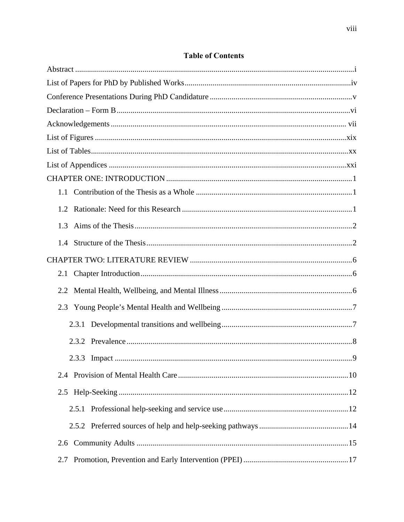| 1.1   |    |
|-------|----|
| 1.2   |    |
| 1.3   |    |
| 1.4   |    |
|       |    |
| 2.1   |    |
| 2.2   |    |
| 2.3   |    |
| 2.3.1 |    |
|       |    |
|       | .9 |
| 2.4   |    |
| 2.5   |    |
|       |    |
|       |    |
| 2.6   |    |
| 2.7   |    |

### **Table of Contents**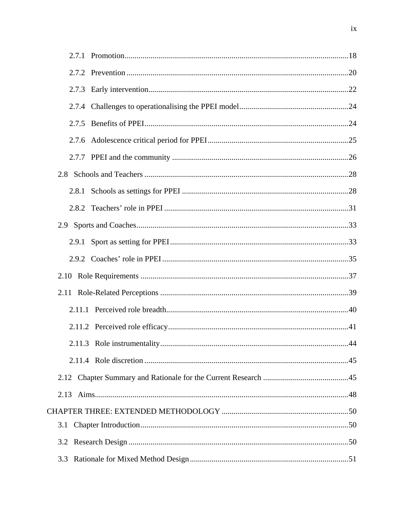| 3.1 |  |
|-----|--|
|     |  |
| 3.3 |  |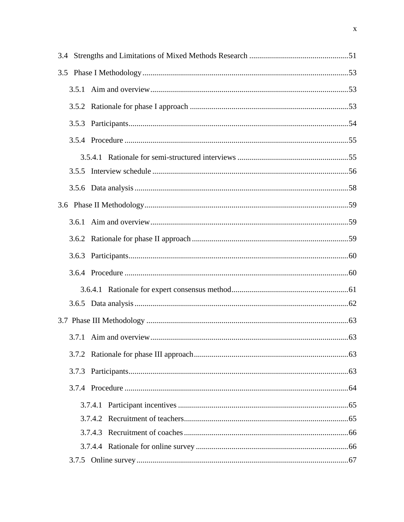| 3.5.5 |  |
|-------|--|
|       |  |
|       |  |
|       |  |
|       |  |
|       |  |
|       |  |
|       |  |
|       |  |
|       |  |
|       |  |
|       |  |
|       |  |
|       |  |
|       |  |
|       |  |
|       |  |
|       |  |
|       |  |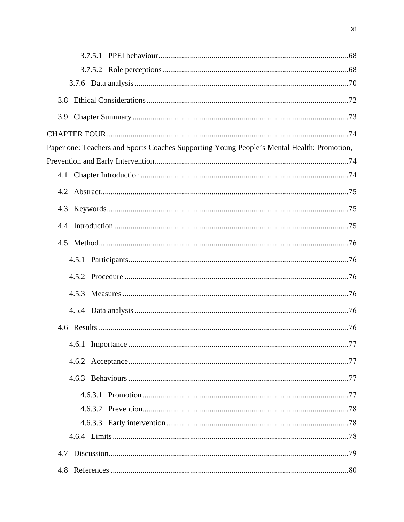| 3.8                                                                                        |  |
|--------------------------------------------------------------------------------------------|--|
|                                                                                            |  |
|                                                                                            |  |
| Paper one: Teachers and Sports Coaches Supporting Young People's Mental Health: Promotion, |  |
|                                                                                            |  |
|                                                                                            |  |
| 4.2                                                                                        |  |
|                                                                                            |  |
| 4.4                                                                                        |  |
|                                                                                            |  |
|                                                                                            |  |
|                                                                                            |  |
|                                                                                            |  |
|                                                                                            |  |
|                                                                                            |  |
|                                                                                            |  |
|                                                                                            |  |
|                                                                                            |  |
|                                                                                            |  |
|                                                                                            |  |
|                                                                                            |  |
|                                                                                            |  |
|                                                                                            |  |
|                                                                                            |  |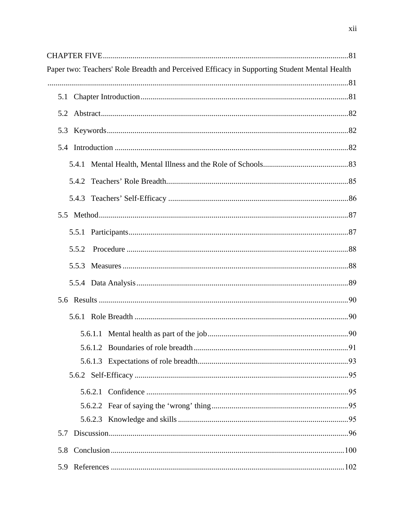| Paper two: Teachers' Role Breadth and Perceived Efficacy in Supporting Student Mental Health |  |
|----------------------------------------------------------------------------------------------|--|
|                                                                                              |  |
|                                                                                              |  |
|                                                                                              |  |
|                                                                                              |  |
|                                                                                              |  |
|                                                                                              |  |
|                                                                                              |  |
|                                                                                              |  |
|                                                                                              |  |
|                                                                                              |  |
| 5.5.2                                                                                        |  |
|                                                                                              |  |
|                                                                                              |  |
|                                                                                              |  |
|                                                                                              |  |
|                                                                                              |  |
|                                                                                              |  |
|                                                                                              |  |
|                                                                                              |  |
|                                                                                              |  |
|                                                                                              |  |
|                                                                                              |  |
| 5.7                                                                                          |  |
|                                                                                              |  |
|                                                                                              |  |
|                                                                                              |  |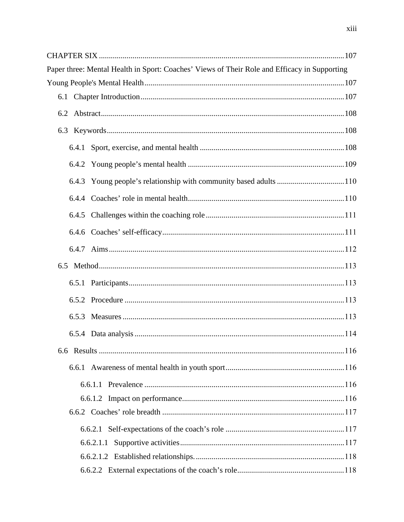| Paper three: Mental Health in Sport: Coaches' Views of Their Role and Efficacy in Supporting |  |
|----------------------------------------------------------------------------------------------|--|
|                                                                                              |  |
| 6.1                                                                                          |  |
|                                                                                              |  |
|                                                                                              |  |
| 6.4.1                                                                                        |  |
|                                                                                              |  |
| 6.4.3 Young people's relationship with community based adults 110                            |  |
|                                                                                              |  |
|                                                                                              |  |
|                                                                                              |  |
|                                                                                              |  |
|                                                                                              |  |
|                                                                                              |  |
|                                                                                              |  |
| 6.5.3                                                                                        |  |
|                                                                                              |  |
|                                                                                              |  |
| 6.6.1                                                                                        |  |
|                                                                                              |  |
|                                                                                              |  |
|                                                                                              |  |
|                                                                                              |  |
| 6.6.2.1.1                                                                                    |  |
|                                                                                              |  |
|                                                                                              |  |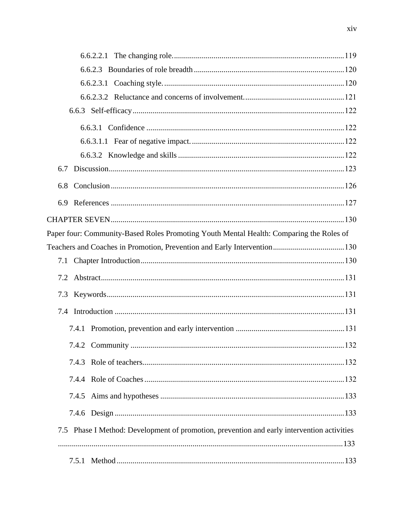| 6.7                                                                                        |  |
|--------------------------------------------------------------------------------------------|--|
| 6.8                                                                                        |  |
| 6.9                                                                                        |  |
|                                                                                            |  |
|                                                                                            |  |
| Paper four: Community-Based Roles Promoting Youth Mental Health: Comparing the Roles of    |  |
|                                                                                            |  |
| 7.1                                                                                        |  |
|                                                                                            |  |
|                                                                                            |  |
|                                                                                            |  |
|                                                                                            |  |
|                                                                                            |  |
|                                                                                            |  |
|                                                                                            |  |
|                                                                                            |  |
|                                                                                            |  |
|                                                                                            |  |
| 7.5 Phase I Method: Development of promotion, prevention and early intervention activities |  |
|                                                                                            |  |
|                                                                                            |  |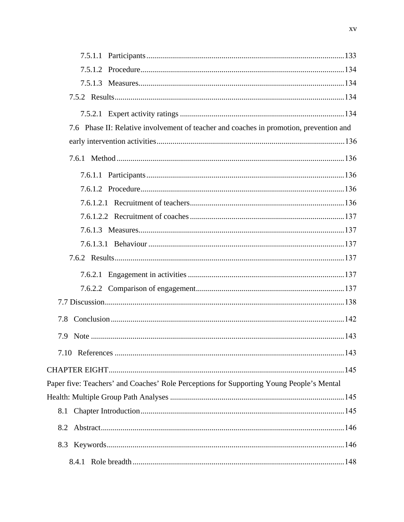| 7.6 Phase II: Relative involvement of teacher and coaches in promotion, prevention and   |  |
|------------------------------------------------------------------------------------------|--|
|                                                                                          |  |
|                                                                                          |  |
|                                                                                          |  |
|                                                                                          |  |
|                                                                                          |  |
|                                                                                          |  |
|                                                                                          |  |
|                                                                                          |  |
|                                                                                          |  |
|                                                                                          |  |
|                                                                                          |  |
|                                                                                          |  |
|                                                                                          |  |
| 7.9                                                                                      |  |
|                                                                                          |  |
|                                                                                          |  |
| Paper five: Teachers' and Coaches' Role Perceptions for Supporting Young People's Mental |  |
|                                                                                          |  |
| 8.1                                                                                      |  |
| 8.2                                                                                      |  |
|                                                                                          |  |
|                                                                                          |  |
|                                                                                          |  |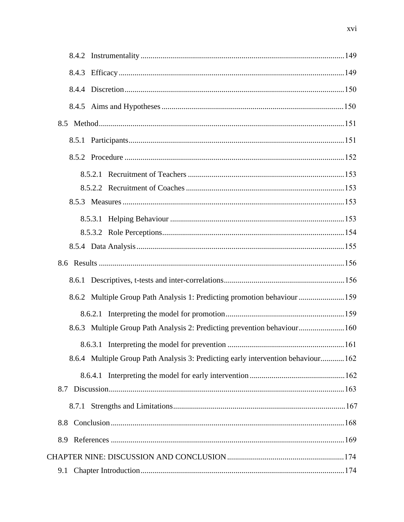| 8.6.2 Multiple Group Path Analysis 1: Predicting promotion behaviour 159         |  |
|----------------------------------------------------------------------------------|--|
|                                                                                  |  |
| 8.6.3 Multiple Group Path Analysis 2: Predicting prevention behaviour160         |  |
|                                                                                  |  |
| 8.6.4 Multiple Group Path Analysis 3: Predicting early intervention behaviour162 |  |
|                                                                                  |  |
|                                                                                  |  |
|                                                                                  |  |
| 8.8                                                                              |  |
| 8.9                                                                              |  |
|                                                                                  |  |
| 9.1                                                                              |  |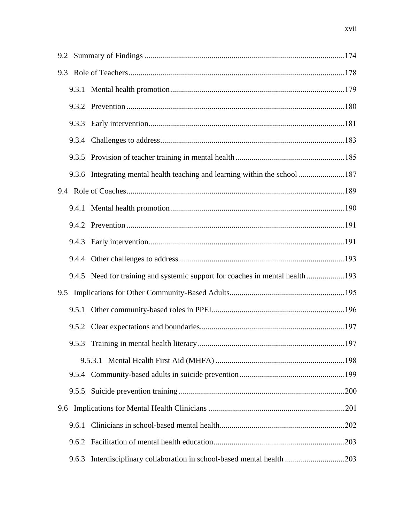| 9.2 |       |                                                                               |     |
|-----|-------|-------------------------------------------------------------------------------|-----|
|     |       |                                                                               |     |
|     |       |                                                                               |     |
|     |       |                                                                               |     |
|     |       |                                                                               |     |
|     |       |                                                                               |     |
|     |       |                                                                               |     |
|     |       | 9.3.6 Integrating mental health teaching and learning within the school 187   |     |
|     |       |                                                                               |     |
|     |       |                                                                               |     |
|     |       |                                                                               |     |
|     |       |                                                                               |     |
|     |       |                                                                               |     |
|     |       | 9.4.5 Need for training and systemic support for coaches in mental health 193 |     |
| 9.5 |       |                                                                               |     |
|     |       |                                                                               |     |
|     |       |                                                                               |     |
|     |       | 9.5.3 Training in mental health literacy                                      | 197 |
|     |       |                                                                               |     |
|     |       |                                                                               |     |
|     | 9.5.5 |                                                                               |     |
| 9.6 |       |                                                                               |     |
|     | 9.6.1 |                                                                               |     |
|     | 9.6.2 |                                                                               |     |
|     | 9.6.3 |                                                                               |     |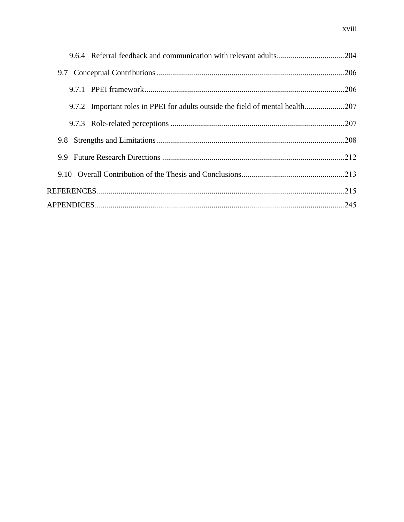| 9.7.2 Important roles in PPEI for adults outside the field of mental health207 |  |
|--------------------------------------------------------------------------------|--|
|                                                                                |  |
| 9.8                                                                            |  |
| 9.9                                                                            |  |
|                                                                                |  |
|                                                                                |  |
|                                                                                |  |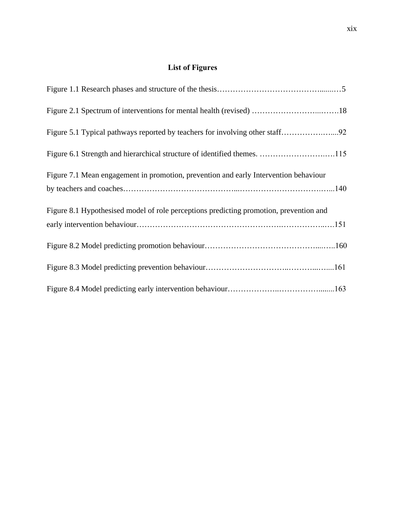# **List of Figures**

<span id="page-18-0"></span>

| Figure 7.1 Mean engagement in promotion, prevention and early Intervention behaviour   |  |
|----------------------------------------------------------------------------------------|--|
| Figure 8.1 Hypothesised model of role perceptions predicting promotion, prevention and |  |
|                                                                                        |  |
|                                                                                        |  |
|                                                                                        |  |
|                                                                                        |  |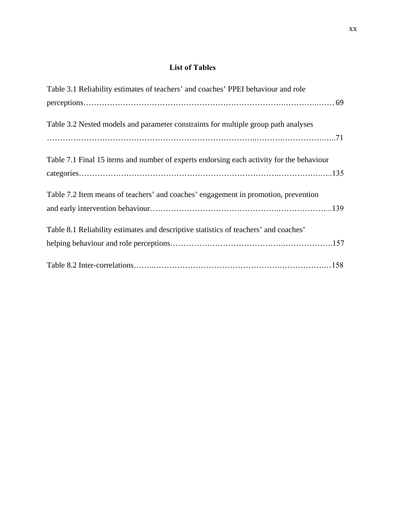### **List of Tables**

<span id="page-19-0"></span>

| Table 3.1 Reliability estimates of teachers' and coaches' PPEI behaviour and role        |
|------------------------------------------------------------------------------------------|
|                                                                                          |
| Table 3.2 Nested models and parameter constraints for multiple group path analyses       |
|                                                                                          |
| Table 7.1 Final 15 items and number of experts endorsing each activity for the behaviour |
|                                                                                          |
| Table 7.2 Item means of teachers' and coaches' engagement in promotion, prevention       |
|                                                                                          |
| Table 8.1 Reliability estimates and descriptive statistics of teachers' and coaches'     |
|                                                                                          |
|                                                                                          |